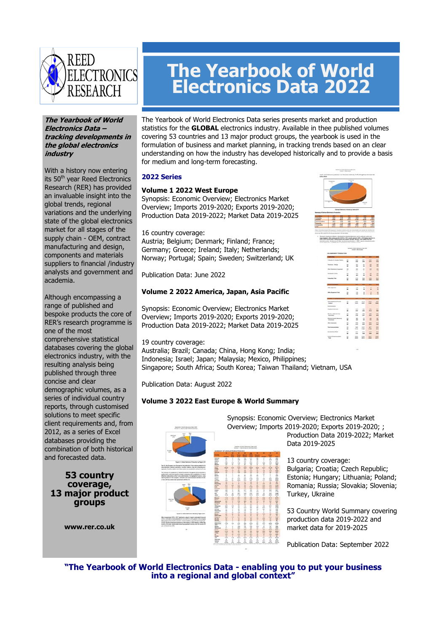

#### **The Yearbook of World Electronics Data – tracking developments in the global electronics industry**

With a history now entering its 50<sup>th</sup> year Reed Electronics Research (RER) has provided an invaluable insight into the global trends, regional variations and the underlying state of the global electronics market for all stages of the supply chain - OEM, contract manufacturing and design, components and materials suppliers to financial /industry analysts and government and academia.

Although encompassing a range of published and bespoke products the core of RER's research programme is one of the most comprehensive statistical databases covering the global electronics industry, with the resulting analysis being published through three concise and clear demographic volumes, as a series of individual country reports, through customised solutions to meet specific client requirements and, from 2012, as a series of Excel databases providing the combination of both historical and forecasted data.

# **53 country coverage, 13 major product groups**

**www.rer.co.uk** 

# **The Yearbook of World Electronics Data 2022**

The Yearbook of World Electronics Data series presents market and production statistics for the **GLOBAL** electronics industry. Available in thee published volumes covering 53 countries and 13 major product groups, the yearbook is used in the formulation of business and market planning, in tracking trends based on an clear understanding on how the industry has developed historically and to provide a basis for medium and long-term forecasting.

# **2022 Series**

# **Volume 1 2022 West Europe**

Synopsis: Economic Overview; Electronics Market Overview; Imports 2019-2020; Exports 2019-2020; Production Data 2019-2022; Market Data 2019-2025

16 country coverage:

Austria; Belgium; Denmark; Finland; France; Germany; Greece; Ireland; Italy; Netherlands; Norway; Portugal; Spain; Sweden; Switzerland; UK

Publication Data: June 2022

# **Volume 2 2022 America, Japan, Asia Pacific**

Synopsis: Economic Overview; Electronics Market Overview; Imports 2019-2020; Exports 2019-2020; Production Data 2019-2022; Market Data 2019-2025

#### 19 country coverage:

Australia; Brazil; Canada; China, Hong Kong; India; Indonesia; Israel; Japan; Malaysia; Mexico, Philippines; Singapore; South Africa; South Korea; Taiwan Thailand; Vietnam, USA

Publication Data: August 2022

# **Volume 3 2022 East Europe & World Summary**



Synopsis: Economic Overview; Electronics Market Overview; Imports 2019-2020; Exports 2019-2020; ; Production Data 2019-2022; Market Data 2019-2025

> 13 country coverage: Bulgaria; Croatia; Czech Republic; Estonia; Hungary; Lithuania; Poland; Romania; Russia; Slovakia; Slovenia; Turkey, Ukraine

> 53 Country World Summary covering production data 2019-2022 and market data for 2019-2025

Publication Data: September 2022

**"The Yearbook of World Electronics Data - enabling you to put your business into a regional and global context"** 

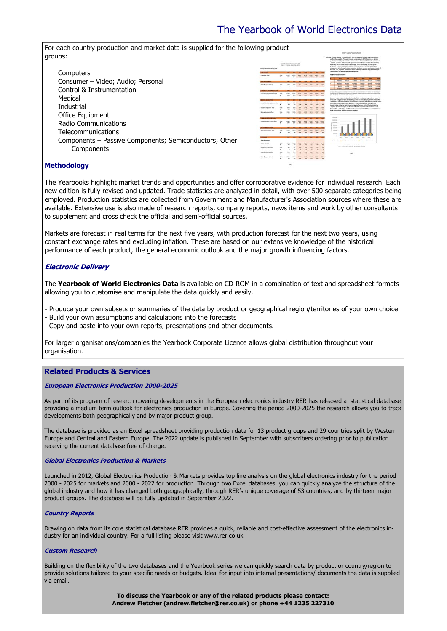# The Yearbook of World Electronics Data

ange in impatitions are TV components in 2018 onto the service increase land productor and

For each country production and market data is supplied for the following product groups:

|                                                        | <b>The field of them Stellands Tag 500</b><br><b>Stand Corporation</b> , Japan, July 24146<br><b>S-FM A VINTRADIAN ROUNDERT</b> |                                                       |   |       |                                                                                                                                                                                                                                                                           |            |                      | ig, which had writed a reduction in the country in Roman of practices! Ty's from its operations in<br>and the advertise of the flat book apparent behave the top countries. Set recorrects<br>greenwith sith the index contrast manufacturer Doce: Technologies and the Chinese<br>a Discople to recommendational production. Other companies of to have recortedly local<br>fue countiers after through that our productor facilities or central inexubstures include LG<br>ALL Tory, T.L. Stuneth. East and Oraffice. Fullancing Videosary Brog for mechanics in<br>19 Marcuso is the textile independent and deliver |                                                                                                                                                                                                                                              |  |
|--------------------------------------------------------|---------------------------------------------------------------------------------------------------------------------------------|-------------------------------------------------------|---|-------|---------------------------------------------------------------------------------------------------------------------------------------------------------------------------------------------------------------------------------------------------------------------------|------------|----------------------|-------------------------------------------------------------------------------------------------------------------------------------------------------------------------------------------------------------------------------------------------------------------------------------------------------------------------------------------------------------------------------------------------------------------------------------------------------------------------------------------------------------------------------------------------------------------------------------------------------------------------|----------------------------------------------------------------------------------------------------------------------------------------------------------------------------------------------------------------------------------------------|--|
| Computers                                              | <b>Lieusking Taux</b>                                                                                                           |                                                       |   |       |                                                                                                                                                                                                                                                                           | <b>ALK</b> | <b>SHOP</b><br>sent. |                                                                                                                                                                                                                                                                                                                                                                                                                                                                                                                                                                                                                         | <b>Backley Avenue Broderies</b>                                                                                                                                                                                                              |  |
| Consumer - Video; Audio; Personal                      | <b>TRUCK Exchanged Tubes</b>                                                                                                    |                                                       |   |       |                                                                                                                                                                                                                                                                           |            |                      |                                                                                                                                                                                                                                                                                                                                                                                                                                                                                                                                                                                                                         |                                                                                                                                                                                                                                              |  |
| Control & Instrumentation                              |                                                                                                                                 |                                                       |   |       |                                                                                                                                                                                                                                                                           |            |                      |                                                                                                                                                                                                                                                                                                                                                                                                                                                                                                                                                                                                                         | <b>MARK</b><br><b>ISLAND</b>                                                                                                                                                                                                                 |  |
|                                                        | <b>Grand &amp; Enterpreneurs Two</b>                                                                                            |                                                       | m | ALC U |                                                                                                                                                                                                                                                                           | sec.       | gree.                |                                                                                                                                                                                                                                                                                                                                                                                                                                                                                                                                                                                                                         | collected from and announce constructions on this modern is due to consult to compute the atomsal figures<br>dentis floor die Norten interessent of Ala Australian                                                                           |  |
| Medical                                                |                                                                                                                                 |                                                       |   |       |                                                                                                                                                                                                                                                                           |            |                      |                                                                                                                                                                                                                                                                                                                                                                                                                                                                                                                                                                                                                         | dealers of traders phones has benefited from the "Make in Index" serrorage with the most of the<br>cards last foreign and trainer after entire pro their cost needs built as the lines or last tribe.                                        |  |
|                                                        |                                                                                                                                 | <b><i>Inflat &amp; Broke &amp; Tankment Total</i></b> |   |       | of damp on in Texas sub contracted manufacturers in Electronics Manufactures Central (SMS)<br>to. Now photo compariso with spectratics in finds including flows officing cortrast<br>stores) include heals. As Day's Sonar consorters Services worked Electronics and the |            |                      |                                                                                                                                                                                                                                                                                                                                                                                                                                                                                                                                                                                                                         |                                                                                                                                                                                                                                              |  |
| Industrial                                             | <b>Industrial Businesses Trans</b>                                                                                              |                                                       |   |       |                                                                                                                                                                                                                                                                           |            |                      |                                                                                                                                                                                                                                                                                                                                                                                                                                                                                                                                                                                                                         | a support States. Vice Claim and Realing. CONSTRO companies with specializes in India.<br>Forests. Fax., and, Vilates and Minning its announcement in 2010 that it are automotive a<br>doesn't productions facility in the country Paneline. |  |
| Office Equipment                                       | <b>Modern A. Inchestral Trace</b>                                                                                               |                                                       |   |       |                                                                                                                                                                                                                                                                           |            |                      |                                                                                                                                                                                                                                                                                                                                                                                                                                                                                                                                                                                                                         | ---                                                                                                                                                                                                                                          |  |
| Radio Communications                                   | <b>International Adults Tree</b>                                                                                                |                                                       |   |       |                                                                                                                                                                                                                                                                           |            |                      |                                                                                                                                                                                                                                                                                                                                                                                                                                                                                                                                                                                                                         |                                                                                                                                                                                                                                              |  |
| Telecommunications                                     | <b>New attenuers allows Trans</b>                                                                                               |                                                       |   |       |                                                                                                                                                                                                                                                                           |            |                      |                                                                                                                                                                                                                                                                                                                                                                                                                                                                                                                                                                                                                         |                                                                                                                                                                                                                                              |  |
| Components - Passive Components; Semiconductors; Other | <b><i><u>Aber Sedeman</u></i></b>                                                                                               |                                                       |   |       |                                                                                                                                                                                                                                                                           |            |                      |                                                                                                                                                                                                                                                                                                                                                                                                                                                                                                                                                                                                                         | <b>Alizante Statute Alizandrates Alizante Kuranzon</b>                                                                                                                                                                                       |  |
|                                                        | <b>Line Television</b>                                                                                                          |                                                       |   |       |                                                                                                                                                                                                                                                                           |            |                      |                                                                                                                                                                                                                                                                                                                                                                                                                                                                                                                                                                                                                         | Index Electronic Protected by Secte 2015-2020                                                                                                                                                                                                |  |
| Components                                             | <b><i>Staff President American</i></b>                                                                                          |                                                       |   |       |                                                                                                                                                                                                                                                                           |            |                      |                                                                                                                                                                                                                                                                                                                                                                                                                                                                                                                                                                                                                         |                                                                                                                                                                                                                                              |  |
|                                                        | <b>Ingle &amp; Netwo Convenier</b>                                                                                              |                                                       |   |       |                                                                                                                                                                                                                                                                           |            |                      |                                                                                                                                                                                                                                                                                                                                                                                                                                                                                                                                                                                                                         | $\sim$                                                                                                                                                                                                                                       |  |
|                                                        | <b>Water Backmaker Food</b>                                                                                                     |                                                       |   |       |                                                                                                                                                                                                                                                                           |            |                      |                                                                                                                                                                                                                                                                                                                                                                                                                                                                                                                                                                                                                         |                                                                                                                                                                                                                                              |  |

#### **Methodology**

The Yearbooks highlight market trends and opportunities and offer corroborative evidence for individual research. Each new edition is fully revised and updated. Trade statistics are analyzed in detail, with over 500 separate categories being employed. Production statistics are collected from Government and Manufacturer's Association sources where these are available. Extensive use is also made of research reports, company reports, news items and work by other consultants to supplement and cross check the official and semi-official sources.

Markets are forecast in real terms for the next five years, with production forecast for the next two years, using constant exchange rates and excluding inflation. These are based on our extensive knowledge of the historical performance of each product, the general economic outlook and the major growth influencing factors.

#### **Electronic Delivery**

The **Yearbook of World Electronics Data** is available on CD-ROM in a combination of text and spreadsheet formats allowing you to customise and manipulate the data quickly and easily.

- Produce your own subsets or summaries of the data by product or geographical region/territories of your own choice

- Build your own assumptions and calculations into the forecasts
- Copy and paste into your own reports, presentations and other documents.

For larger organisations/companies the Yearbook Corporate Licence allows global distribution throughout your organisation.

# **Related Products & Services**

#### **European Electronics Production 2000-2025**

As part of its program of research covering developments in the European electronics industry RER has released a statistical database providing a medium term outlook for electronics production in Europe. Covering the period 2000-2025 the research allows you to track developments both geographically and by major product group.

The database is provided as an Excel spreadsheet providing production data for 13 product groups and 29 countries split by Western Europe and Central and Eastern Europe. The 2022 update is published in September with subscribers ordering prior to publication receiving the current database free of charge.

#### **Global Electronics Production & Markets**

Launched in 2012, Global Electronics Production & Markets provides top line analysis on the global electronics industry for the period 2000 - 2025 for markets and 2000 - 2022 for production. Through two Excel databases you can quickly analyze the structure of the global industry and how it has changed both geographically, through RER's unique coverage of 53 countries, and by thirteen major product groups. The database will be fully updated in September 2022.

#### **Country Reports**

Drawing on data from its core statistical database RER provides a quick, reliable and cost-effective assessment of the electronics industry for an individual country. For a full listing please visit www.rer.co.uk

#### **Custom Research**

Building on the flexibility of the two databases and the Yearbook series we can quickly search data by product or country/region to provide solutions tailored to your specific needs or budgets. Ideal for input into internal presentations/ documents the data is supplied via email.

> **To discuss the Yearbook or any of the related products please contact: Andrew Fletcher (andrew.fletcher@rer.co.uk) or phone +44 1235 227310**